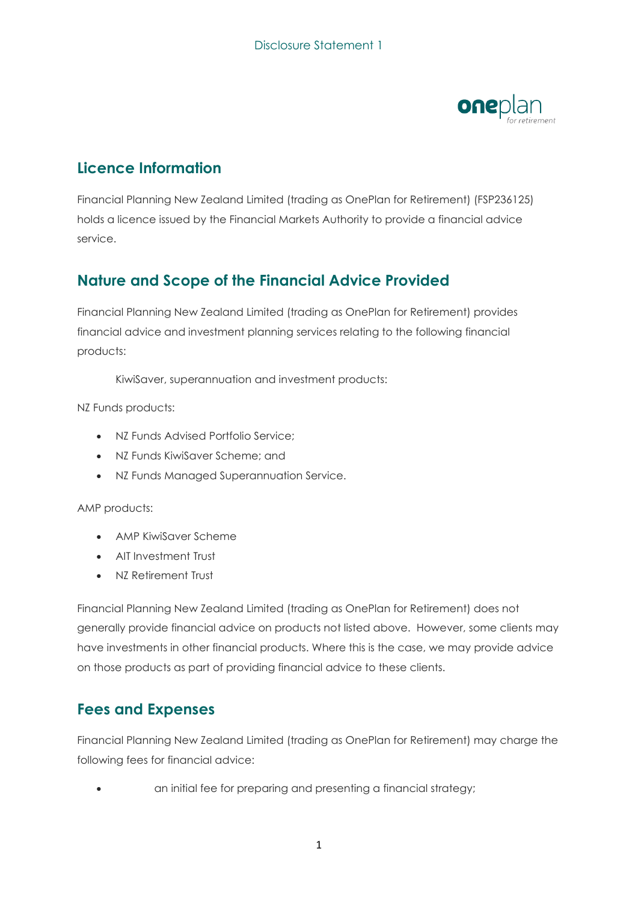

# **Licence Information**

Financial Planning New Zealand Limited (trading as OnePlan for Retirement) (FSP236125) holds a licence issued by the Financial Markets Authority to provide a financial advice service.

## **Nature and Scope of the Financial Advice Provided**

Financial Planning New Zealand Limited (trading as OnePlan for Retirement) provides financial advice and investment planning services relating to the following financial products:

KiwiSaver, superannuation and investment products:

NZ Funds products:

- NZ Funds Advised Portfolio Service;
- NZ Funds KiwiSaver Scheme; and
- NZ Funds Managed Superannuation Service.

#### AMP products:

- AMP KiwiSaver Scheme
- AIT Investment Trust
- NZ Retirement Trust

Financial Planning New Zealand Limited (trading as OnePlan for Retirement) does not generally provide financial advice on products not listed above. However, some clients may have investments in other financial products. Where this is the case, we may provide advice on those products as part of providing financial advice to these clients.

#### **Fees and Expenses**

Financial Planning New Zealand Limited (trading as OnePlan for Retirement) may charge the following fees for financial advice:

• an initial fee for preparing and presenting a financial strategy;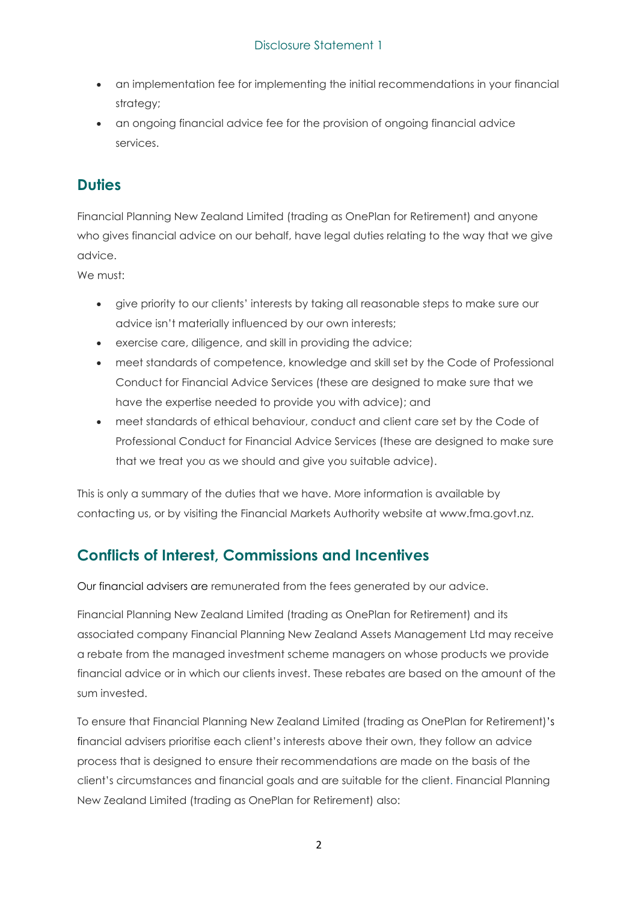- an implementation fee for implementing the initial recommendations in your financial strategy;
- an ongoing financial advice fee for the provision of ongoing financial advice services.

# **Duties**

Financial Planning New Zealand Limited (trading as OnePlan for Retirement) and anyone who gives financial advice on our behalf, have legal duties relating to the way that we give advice.

We must:

- give priority to our clients' interests by taking all reasonable steps to make sure our advice isn't materially influenced by our own interests;
- exercise care, diligence, and skill in providing the advice;
- meet standards of competence, knowledge and skill set by the Code of Professional Conduct for Financial Advice Services (these are designed to make sure that we have the expertise needed to provide you with advice); and
- meet standards of ethical behaviour, conduct and client care set by the Code of Professional Conduct for Financial Advice Services (these are designed to make sure that we treat you as we should and give you suitable advice).

This is only a summary of the duties that we have. More information is available by contacting us, or by visiting the Financial Markets Authority website at www.fma.govt.nz.

## **Conflicts of Interest, Commissions and Incentives**

Our financial advisers are remunerated from the fees generated by our advice.

Financial Planning New Zealand Limited (trading as OnePlan for Retirement) and its associated company Financial Planning New Zealand Assets Management Ltd may receive a rebate from the managed investment scheme managers on whose products we provide financial advice or in which our clients invest. These rebates are based on the amount of the sum invested.

To ensure that Financial Planning New Zealand Limited (trading as OnePlan for Retirement)'s financial advisers prioritise each client's interests above their own, they follow an advice process that is designed to ensure their recommendations are made on the basis of the client's circumstances and financial goals and are suitable for the client. Financial Planning New Zealand Limited (trading as OnePlan for Retirement) also: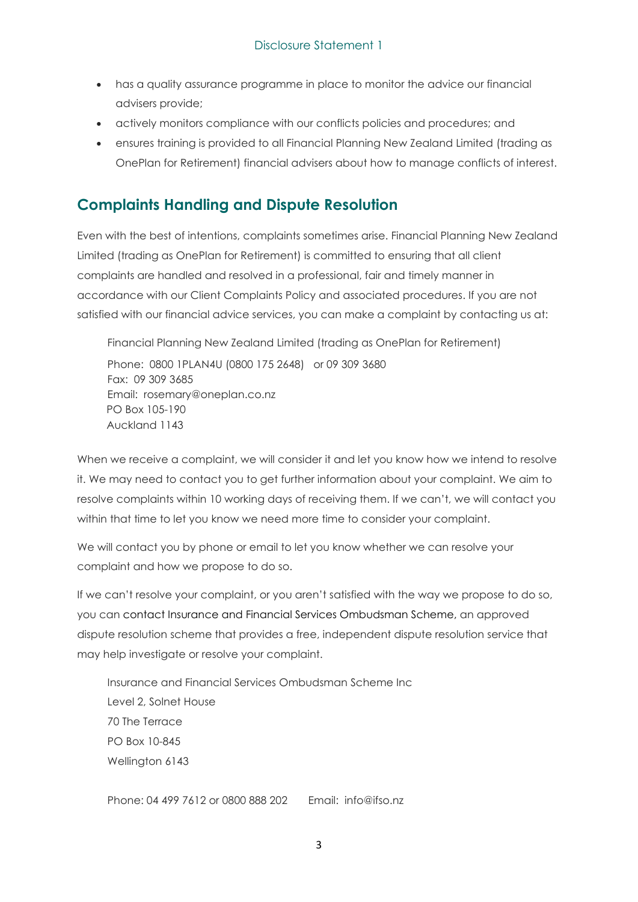- has a quality assurance programme in place to monitor the advice our financial advisers provide;
- actively monitors compliance with our conflicts policies and procedures; and
- ensures training is provided to all Financial Planning New Zealand Limited (trading as OnePlan for Retirement) financial advisers about how to manage conflicts of interest.

#### **Complaints Handling and Dispute Resolution**

Even with the best of intentions, complaints sometimes arise. Financial Planning New Zealand Limited (trading as OnePlan for Retirement) is committed to ensuring that all client complaints are handled and resolved in a professional, fair and timely manner in accordance with our Client Complaints Policy and associated procedures. If you are not satisfied with our financial advice services, you can make a complaint by contacting us at:

Financial Planning New Zealand Limited (trading as OnePlan for Retirement) Phone: 0800 1PLAN4U (0800 175 2648) or 09 309 3680 Fax: 09 309 3685 Email: rosemary@oneplan.co.nz PO Box 105-190 Auckland 1143

When we receive a complaint, we will consider it and let you know how we intend to resolve it. We may need to contact you to get further information about your complaint. We aim to resolve complaints within 10 working days of receiving them. If we can't, we will contact you within that time to let you know we need more time to consider your complaint.

We will contact you by phone or email to let you know whether we can resolve your complaint and how we propose to do so.

If we can't resolve your complaint, or you aren't satisfied with the way we propose to do so, you can contact Insurance and Financial Services Ombudsman Scheme, an approved dispute resolution scheme that provides a free, independent dispute resolution service that may help investigate or resolve your complaint.

Insurance and Financial Services Ombudsman Scheme Inc Level 2, Solnet House 70 The Terrace PO Box 10-845 Wellington 6143

Phone: 04 499 7612 or 0800 888 202 Email: info@ifso.nz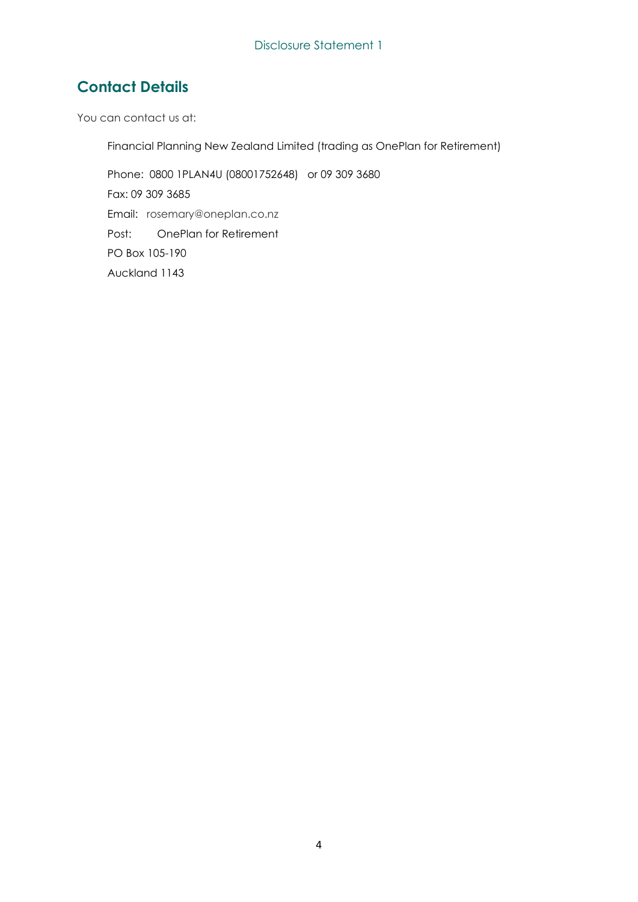# **Contact Details**

You can contact us at:

Financial Planning New Zealand Limited (trading as OnePlan for Retirement)

Phone: 0800 1PLAN4U (08001752648) or 09 309 3680 Fax: 09 309 3685 Email: rosemary@oneplan.co.nz Post: OnePlan for Retirement PO Box 105-190 Auckland 1143